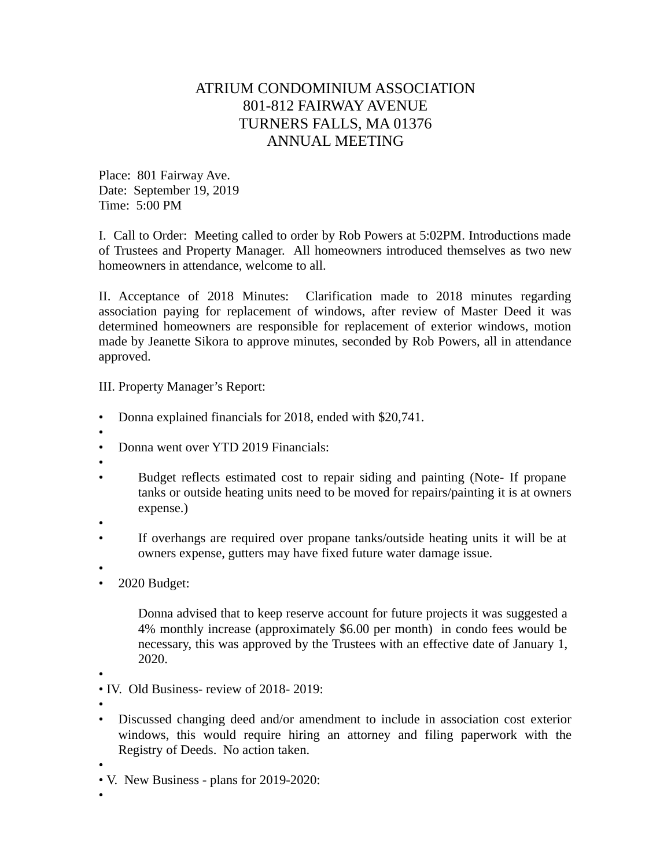## ATRIUM CONDOMINIUM ASSOCIATION 801-812 FAIRWAY AVENUE TURNERS FALLS, MA 01376 ANNUAL MEETING

Place: 801 Fairway Ave. Date: September 19, 2019 Time: 5:00 PM

I. Call to Order: Meeting called to order by Rob Powers at 5:02PM. Introductions made of Trustees and Property Manager. All homeowners introduced themselves as two new homeowners in attendance, welcome to all.

II. Acceptance of 2018 Minutes: Clarification made to 2018 minutes regarding association paying for replacement of windows, after review of Master Deed it was determined homeowners are responsible for replacement of exterior windows, motion made by Jeanette Sikora to approve minutes, seconded by Rob Powers, all in attendance approved.

III. Property Manager's Report:

- Donna explained financials for 2018, ended with \$20,741.
- • Donna went over YTD 2019 Financials:
- •
- Budget reflects estimated cost to repair siding and painting (Note- If propane tanks or outside heating units need to be moved for repairs/painting it is at owners expense.)
- •
- If overhangs are required over propane tanks/outside heating units it will be at owners expense, gutters may have fixed future water damage issue.
- •
- 2020 Budget:

Donna advised that to keep reserve account for future projects it was suggested a 4% monthly increase (approximately \$6.00 per month) in condo fees would be necessary, this was approved by the Trustees with an effective date of January 1, 2020.

•

• IV. Old Business- review of 2018- 2019:

- •
- Discussed changing deed and/or amendment to include in association cost exterior windows, this would require hiring an attorney and filing paperwork with the Registry of Deeds. No action taken.

•

• V. New Business - plans for 2019-2020:

•